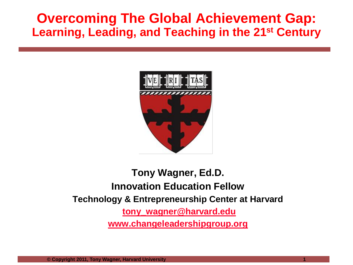### **Overcoming The Global Achievement Gap: Learning, Leading, and Teaching in the 21st Century**



#### **Tony Wagner, Ed.D. Innovation Education Fellow Technology & Entrepreneurship Center at Harvard [tony\\_wagner@harvard.edu](mailto:tony_wagner@harvard.edu) [www.changeleadershipgroup.org](http://www.changeleadershipgroup.org/)**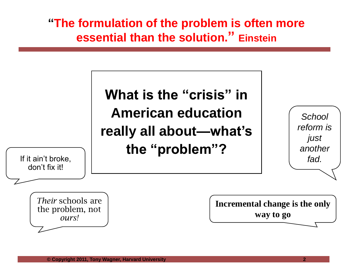**"The formulation of the problem is often more essential than the solution." Einstein**

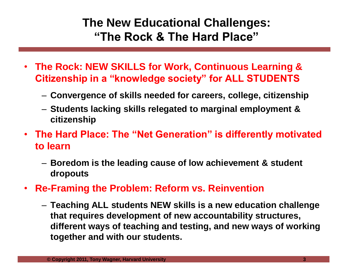#### **The New Educational Challenges: "The Rock & The Hard Place"**

- **The Rock: NEW SKILLS for Work, Continuous Learning & Citizenship in a "knowledge society" for ALL STUDENTS**
	- **Convergence of skills needed for careers, college, citizenship**
	- **Students lacking skills relegated to marginal employment & citizenship**
- **The Hard Place: The "Net Generation" is differently motivated to learn**
	- **Boredom is the leading cause of low achievement & student dropouts**
- **Re-Framing the Problem: Reform vs. Reinvention** 
	- **Teaching ALL students NEW skills is a new education challenge that requires development of new accountability structures, different ways of teaching and testing, and new ways of working together and with our students.**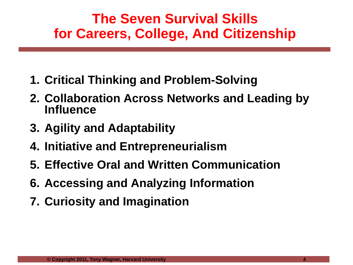### **The Seven Survival Skills for Careers, College, And Citizenship**

- **1. Critical Thinking and Problem-Solving**
- **2. Collaboration Across Networks and Leading by Influence**
- **3. Agility and Adaptability**
- **4. Initiative and Entrepreneurialism**
- **5. Effective Oral and Written Communication**
- **6. Accessing and Analyzing Information**
- **7. Curiosity and Imagination**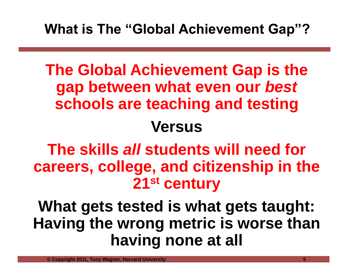### **What is The "Global Achievement Gap"?**

# **The Global Achievement Gap is the gap between what even our** *best* **schools are teaching and testing Versus**

# **The skills** *all* **students will need for careers, college, and citizenship in the 21st century**

# **What gets tested is what gets taught: Having the wrong metric is worse than having none at all**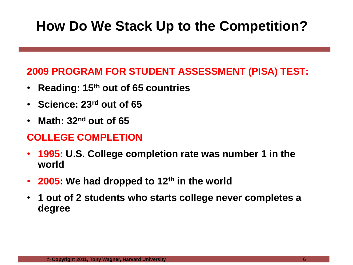## **How Do We Stack Up to the Competition?**

#### **2009 PROGRAM FOR STUDENT ASSESSMENT (PISA) TEST:**

- **Reading: 15th out of 65 countries**
- **Science: 23rd out of 65**
- **Math: 32nd out of 65**

#### **COLLEGE COMPLETION**

- **1995: U.S. College completion rate was number 1 in the world**
- **2005: We had dropped to 12th in the world**
- **1 out of 2 students who starts college never completes a degree**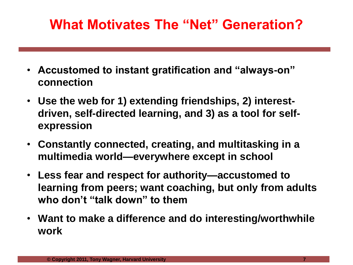## **What Motivates The "Net" Generation?**

- **Accustomed to instant gratification and "always-on" connection**
- **Use the web for 1) extending friendships, 2) interestdriven, self-directed learning, and 3) as a tool for selfexpression**
- **Constantly connected, creating, and multitasking in a multimedia world—everywhere except in school**
- **Less fear and respect for authority—accustomed to learning from peers; want coaching, but only from adults who don't "talk down" to them**
- **Want to make a difference and do interesting/worthwhile work**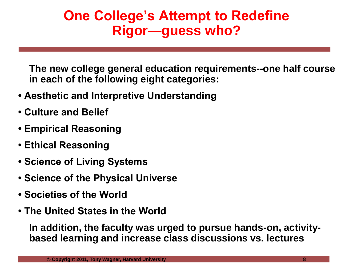### **One College's Attempt to Redefine Rigor—guess who?**

**The new college general education requirements--one half course in each of the following eight categories:**

- **Aesthetic and Interpretive Understanding**
- **Culture and Belief**
- **Empirical Reasoning**
- **Ethical Reasoning**
- **Science of Living Systems**
- **Science of the Physical Universe**
- **Societies of the World**
- **The United States in the World**

**In addition, the faculty was urged to pursue hands-on, activitybased learning and increase class discussions vs. lectures**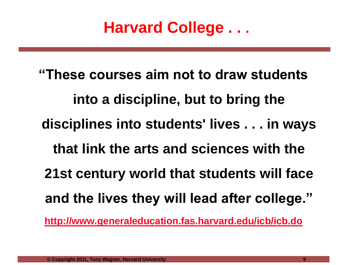# **Harvard College . . .**

**"These courses aim not to draw students into a discipline, but to bring the disciplines into students' lives . . . in ways that link the arts and sciences with the 21st century world that students will face and the lives they will lead after college." <http://www.generaleducation.fas.harvard.edu/icb/icb.do>**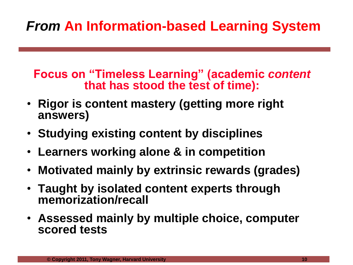## *From* **An Information-based Learning System**

**Focus on "Timeless Learning" (academic** *content* **that has stood the test of time):**

- **Rigor is content mastery (getting more right answers)**
- **Studying existing content by disciplines**
- **Learners working alone & in competition**
- **Motivated mainly by extrinsic rewards (grades)**
- **Taught by isolated content experts through memorization/recall**
- **Assessed mainly by multiple choice, computer scored tests**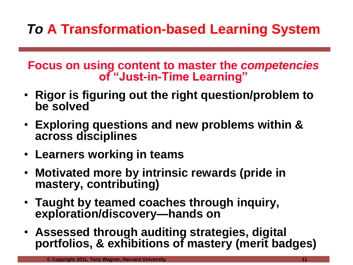# *To* **A Transformation-based Learning System**

**Focus on using content to master the** *competencies* **of "Just-in-Time Learning"**

- **Rigor is figuring out the right question/problem to be solved**
- **Exploring questions and new problems within & across disciplines**
- **Learners working in teams**
- **Motivated more by intrinsic rewards (pride in mastery, contributing)**
- **Taught by teamed coaches through inquiry, exploration/discovery—hands on**
- **Assessed through auditing strategies, digital portfolios, & exhibitions of mastery (merit badges)**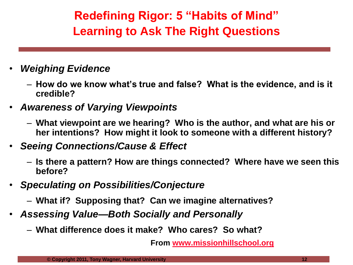### **Redefining Rigor: 5 "Habits of Mind" Learning to Ask The Right Questions**

#### • *Weighing Evidence*

- **How do we know what's true and false? What is the evidence, and is it credible?**
- *Awareness of Varying Viewpoints*
	- **What viewpoint are we hearing? Who is the author, and what are his or her intentions? How might it look to someone with a different history?**
- *Seeing Connections/Cause & Effect*
	- **Is there a pattern? How are things connected? Where have we seen this before?**
- *Speculating on Possibilities/Conjecture*
	- **What if? Supposing that? Can we imagine alternatives?**
- *Assessing Value—Both Socially and Personally*
	- **What difference does it make? Who cares? So what?**

**From [www.missionhillschool.org](http://www.missionhillschool.org/)**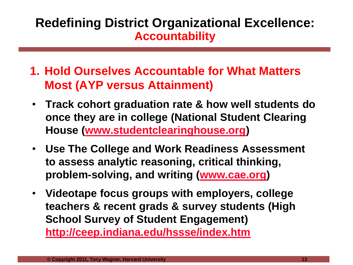### **Redefining District Organizational Excellence: Accountability**

- **1. Hold Ourselves Accountable for What Matters Most (AYP versus Attainment)**
- **Track cohort graduation rate & how well students do once they are in college (National Student Clearing House [\(www.studentclearinghouse.org\)](http://www.studentclearinghouse.org/)**
- **Use The College and Work Readiness Assessment to assess analytic reasoning, critical thinking, problem-solving, and writing ([www.cae.org\)](http://www.cae.org/)**
- **Videotape focus groups with employers, college teachers & recent grads & survey students (High School Survey of Student Engagement)**

**<http://ceep.indiana.edu/hssse/index.htm>**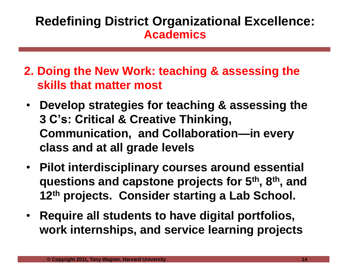#### **Redefining District Organizational Excellence: Academics**

- **2. Doing the New Work: teaching & assessing the skills that matter most**
- **Develop strategies for teaching & assessing the 3 C's: Critical & Creative Thinking, Communication, and Collaboration—in every class and at all grade levels**
- **Pilot interdisciplinary courses around essential questions and capstone projects for 5th, 8th, and 12th projects. Consider starting a Lab School.**
- **Require all students to have digital portfolios, work internships, and service learning projects**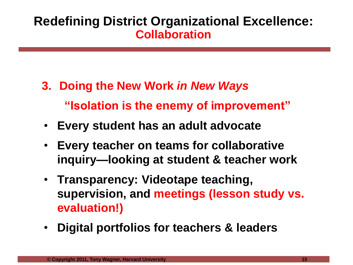### **Redefining District Organizational Excellence: Collaboration**

- **3. Doing the New Work** *in New Ways* **"Isolation is the enemy of improvement"**
- **Every student has an adult advocate**
- **Every teacher on teams for collaborative inquiry—looking at student & teacher work**
- **Transparency: Videotape teaching, supervision, and meetings (lesson study vs. evaluation!)**
- **Digital portfolios for teachers & leaders**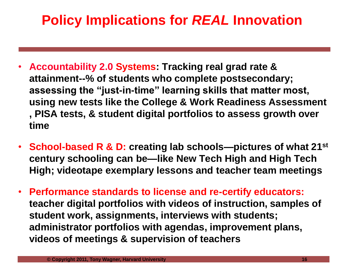### **Policy Implications for** *REAL* **Innovation**

- **Accountability 2.0 Systems: Tracking real grad rate & attainment--% of students who complete postsecondary; assessing the "just-in-time" learning skills that matter most, using new tests like the College & Work Readiness Assessment , PISA tests, & student digital portfolios to assess growth over time**
- **School-based R & D: creating lab schools—pictures of what 21st century schooling can be—like New Tech High and High Tech High; videotape exemplary lessons and teacher team meetings**
- **Performance standards to license and re-certify educators: teacher digital portfolios with videos of instruction, samples of student work, assignments, interviews with students; administrator portfolios with agendas, improvement plans, videos of meetings & supervision of teachers**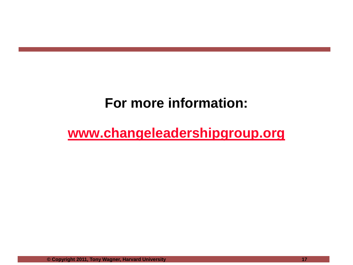### **For more information:**

### **[www.changeleadershipgroup.org](http://www.changeleadershipgroup.org/)**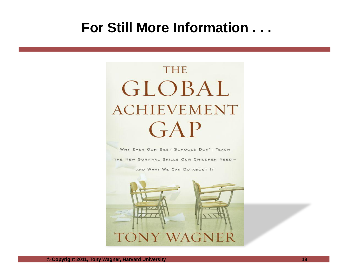### **For Still More Information . . .**

# **THE** GLOBAL **ACHIEVEMENT** GAP

WHY EVEN OUR BEST SCHOOLS DON'T TEACH

THE NEW SURVIVAL SKILLS OUR CHILDREN NEED -

AND WHAT WE CAN DO ABOUT IT

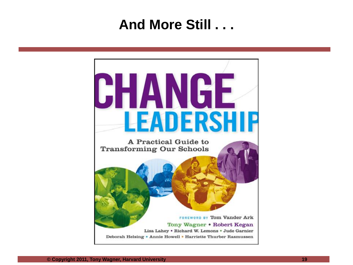### **And More Still . . .**

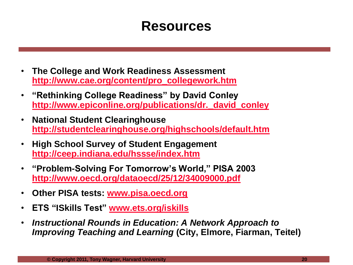### **Resources**

- **The College and Work Readiness Assessment [http://www.cae.org/content/pro\\_collegework.htm](http://www.cae.org/content/pro_collegework.htm)**
- **"Rethinking College Readiness" by David Conley [http://www.epiconline.org/publications/dr.\\_david\\_conley](http://www.epiconline.org/publications/dr._david_conley)**
- **National Student Clearinghouse <http://studentclearinghouse.org/highschools/default.htm>**
- **High School Survey of Student Engagement <http://ceep.indiana.edu/hssse/index.htm>**
- **"Problem-Solving For Tomorrow's World," PISA 2003 <http://www.oecd.org/dataoecd/25/12/34009000.pdf>**
- **Other PISA tests: [www.pisa.oecd.org](http://www.pisa.oecd.org/)**
- **ETS "ISkills Test" [www.ets.org/iskills](http://www.ets.org/iskills)**
- *Instructional Rounds in Education: A Network Approach to Improving Teaching and Learning* **(City, Elmore, Fiarman, Teitel)**